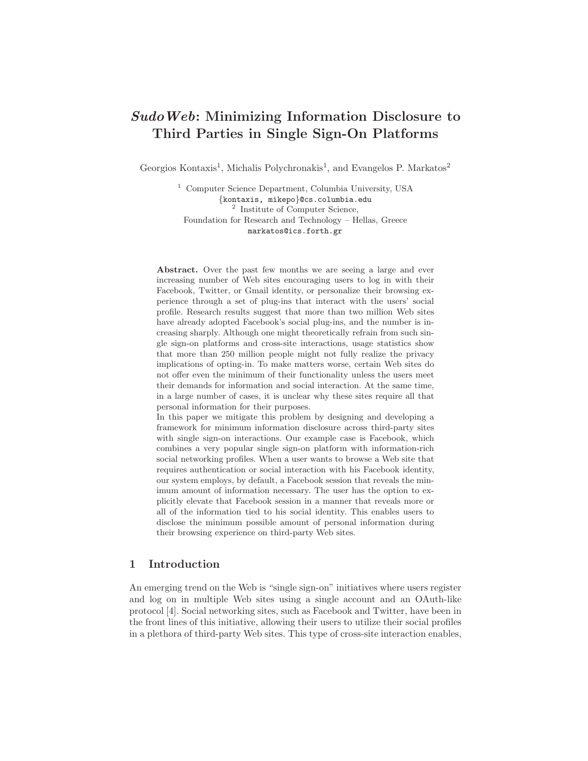# SudoWeb: Minimizing Information Disclosure to Third Parties in Single Sign-On Platforms

Georgios Kontaxis<sup>1</sup>, Michalis Polychronakis<sup>1</sup>, and Evangelos P. Markatos<sup>2</sup>

<sup>1</sup> Computer Science Department, Columbia University, USA {kontaxis, mikepo}@cs.columbia.edu 2 Institute of Computer Science, Foundation for Research and Technology – Hellas, Greece markatos@ics.forth.gr

Abstract. Over the past few months we are seeing a large and ever increasing number of Web sites encouraging users to log in with their Facebook, Twitter, or Gmail identity, or personalize their browsing experience through a set of plug-ins that interact with the users' social profile. Research results suggest that more than two million Web sites have already adopted Facebook's social plug-ins, and the number is increasing sharply. Although one might theoretically refrain from such single sign-on platforms and cross-site interactions, usage statistics show that more than 250 million people might not fully realize the privacy implications of opting-in. To make matters worse, certain Web sites do not offer even the minimum of their functionality unless the users meet their demands for information and social interaction. At the same time, in a large number of cases, it is unclear why these sites require all that personal information for their purposes.

In this paper we mitigate this problem by designing and developing a framework for minimum information disclosure across third-party sites with single sign-on interactions. Our example case is Facebook, which combines a very popular single sign-on platform with information-rich social networking profiles. When a user wants to browse a Web site that requires authentication or social interaction with his Facebook identity, our system employs, by default, a Facebook session that reveals the minimum amount of information necessary. The user has the option to explicitly elevate that Facebook session in a manner that reveals more or all of the information tied to his social identity. This enables users to disclose the minimum possible amount of personal information during their browsing experience on third-party Web sites.

## 1 Introduction

An emerging trend on the Web is "single sign-on" initiatives where users register and log on in multiple Web sites using a single account and an OAuth-like protocol [4]. Social networking sites, such as Facebook and Twitter, have been in the front lines of this initiative, allowing their users to utilize their social profiles in a plethora of third-party Web sites. This type of cross-site interaction enables,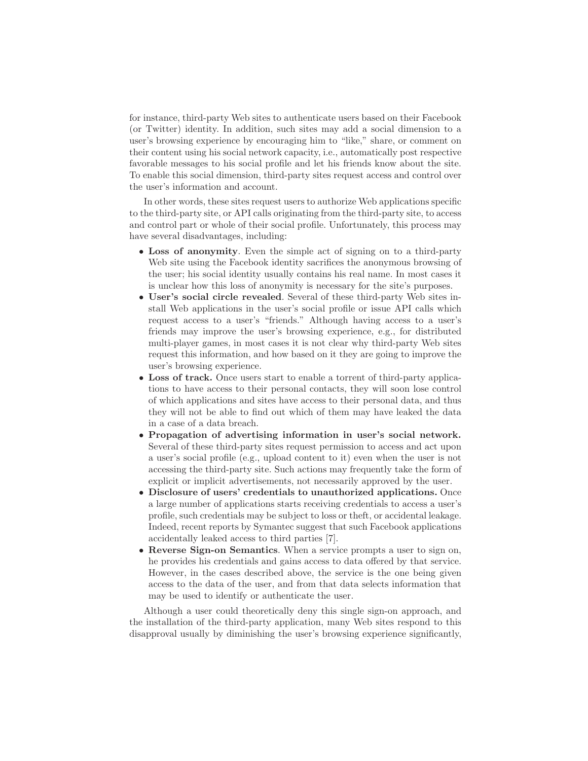for instance, third-party Web sites to authenticate users based on their Facebook (or Twitter) identity. In addition, such sites may add a social dimension to a user's browsing experience by encouraging him to "like," share, or comment on their content using his social network capacity, i.e., automatically post respective favorable messages to his social profile and let his friends know about the site. To enable this social dimension, third-party sites request access and control over the user's information and account.

In other words, these sites request users to authorize Web applications specific to the third-party site, or API calls originating from the third-party site, to access and control part or whole of their social profile. Unfortunately, this process may have several disadvantages, including:

- Loss of anonymity. Even the simple act of signing on to a third-party Web site using the Facebook identity sacrifices the anonymous browsing of the user; his social identity usually contains his real name. In most cases it is unclear how this loss of anonymity is necessary for the site's purposes.
- User's social circle revealed. Several of these third-party Web sites install Web applications in the user's social profile or issue API calls which request access to a user's "friends." Although having access to a user's friends may improve the user's browsing experience, e.g., for distributed multi-player games, in most cases it is not clear why third-party Web sites request this information, and how based on it they are going to improve the user's browsing experience.
- Loss of track. Once users start to enable a torrent of third-party applications to have access to their personal contacts, they will soon lose control of which applications and sites have access to their personal data, and thus they will not be able to find out which of them may have leaked the data in a case of a data breach.
- Propagation of advertising information in user's social network. Several of these third-party sites request permission to access and act upon a user's social profile (e.g., upload content to it) even when the user is not accessing the third-party site. Such actions may frequently take the form of explicit or implicit advertisements, not necessarily approved by the user.
- Disclosure of users' credentials to unauthorized applications. Once a large number of applications starts receiving credentials to access a user's profile, such credentials may be subject to loss or theft, or accidental leakage. Indeed, recent reports by Symantec suggest that such Facebook applications accidentally leaked access to third parties [7].
- Reverse Sign-on Semantics. When a service prompts a user to sign on, he provides his credentials and gains access to data offered by that service. However, in the cases described above, the service is the one being given access to the data of the user, and from that data selects information that may be used to identify or authenticate the user.

Although a user could theoretically deny this single sign-on approach, and the installation of the third-party application, many Web sites respond to this disapproval usually by diminishing the user's browsing experience significantly,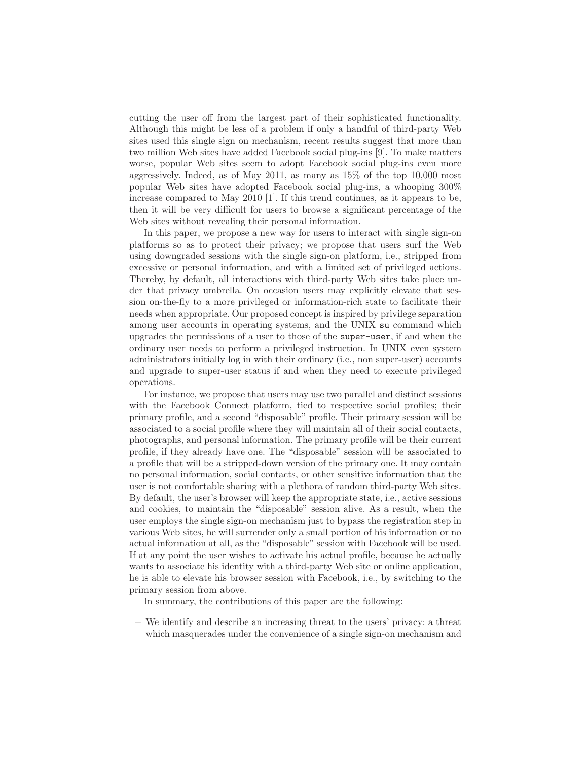cutting the user off from the largest part of their sophisticated functionality. Although this might be less of a problem if only a handful of third-party Web sites used this single sign on mechanism, recent results suggest that more than two million Web sites have added Facebook social plug-ins [9]. To make matters worse, popular Web sites seem to adopt Facebook social plug-ins even more aggressively. Indeed, as of May 2011, as many as 15% of the top 10,000 most popular Web sites have adopted Facebook social plug-ins, a whooping 300% increase compared to May 2010 [1]. If this trend continues, as it appears to be, then it will be very difficult for users to browse a significant percentage of the Web sites without revealing their personal information.

In this paper, we propose a new way for users to interact with single sign-on platforms so as to protect their privacy; we propose that users surf the Web using downgraded sessions with the single sign-on platform, i.e., stripped from excessive or personal information, and with a limited set of privileged actions. Thereby, by default, all interactions with third-party Web sites take place under that privacy umbrella. On occasion users may explicitly elevate that session on-the-fly to a more privileged or information-rich state to facilitate their needs when appropriate. Our proposed concept is inspired by privilege separation among user accounts in operating systems, and the UNIX su command which upgrades the permissions of a user to those of the super-user, if and when the ordinary user needs to perform a privileged instruction. In UNIX even system administrators initially log in with their ordinary (i.e., non super-user) accounts and upgrade to super-user status if and when they need to execute privileged operations.

For instance, we propose that users may use two parallel and distinct sessions with the Facebook Connect platform, tied to respective social profiles; their primary profile, and a second "disposable" profile. Their primary session will be associated to a social profile where they will maintain all of their social contacts, photographs, and personal information. The primary profile will be their current profile, if they already have one. The "disposable" session will be associated to a profile that will be a stripped-down version of the primary one. It may contain no personal information, social contacts, or other sensitive information that the user is not comfortable sharing with a plethora of random third-party Web sites. By default, the user's browser will keep the appropriate state, i.e., active sessions and cookies, to maintain the "disposable" session alive. As a result, when the user employs the single sign-on mechanism just to bypass the registration step in various Web sites, he will surrender only a small portion of his information or no actual information at all, as the "disposable" session with Facebook will be used. If at any point the user wishes to activate his actual profile, because he actually wants to associate his identity with a third-party Web site or online application, he is able to elevate his browser session with Facebook, i.e., by switching to the primary session from above.

In summary, the contributions of this paper are the following:

– We identify and describe an increasing threat to the users' privacy: a threat which masquerades under the convenience of a single sign-on mechanism and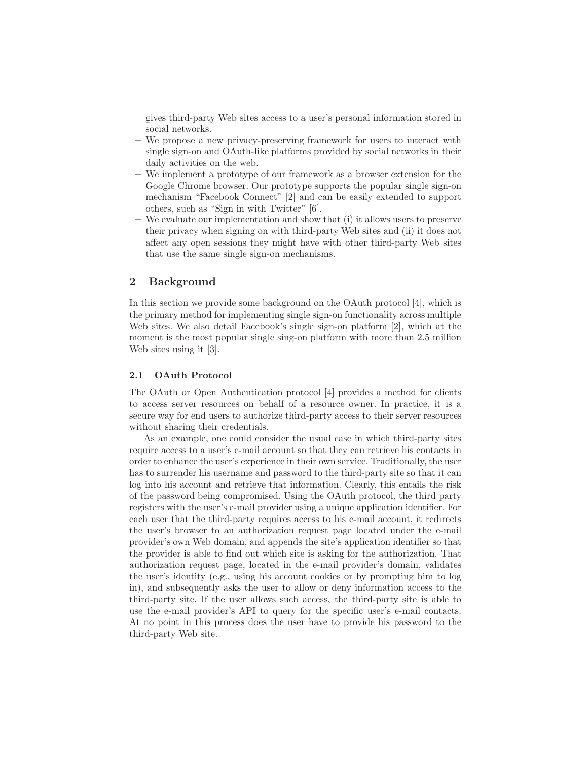gives third-party Web sites access to a user's personal information stored in social networks.

- We propose a new privacy-preserving framework for users to interact with single sign-on and OAuth-like platforms provided by social networks in their daily activities on the web.
- We implement a prototype of our framework as a browser extension for the Google Chrome browser. Our prototype supports the popular single sign-on mechanism "Facebook Connect" [2] and can be easily extended to support others, such as "Sign in with Twitter" [6].
- We evaluate our implementation and show that (i) it allows users to preserve their privacy when signing on with third-party Web sites and (ii) it does not affect any open sessions they might have with other third-party Web sites that use the same single sign-on mechanisms.

## 2 Background

In this section we provide some background on the OAuth protocol [4], which is the primary method for implementing single sign-on functionality across multiple Web sites. We also detail Facebook's single sign-on platform [2], which at the moment is the most popular single sing-on platform with more than 2.5 million Web sites using it [3].

# 2.1 OAuth Protocol

The OAuth or Open Authentication protocol [4] provides a method for clients to access server resources on behalf of a resource owner. In practice, it is a secure way for end users to authorize third-party access to their server resources without sharing their credentials.

As an example, one could consider the usual case in which third-party sites require access to a user's e-mail account so that they can retrieve his contacts in order to enhance the user's experience in their own service. Traditionally, the user has to surrender his username and password to the third-party site so that it can log into his account and retrieve that information. Clearly, this entails the risk of the password being compromised. Using the OAuth protocol, the third party registers with the user's e-mail provider using a unique application identifier. For each user that the third-party requires access to his e-mail account, it redirects the user's browser to an authorization request page located under the e-mail provider's own Web domain, and appends the site's application identifier so that the provider is able to find out which site is asking for the authorization. That authorization request page, located in the e-mail provider's domain, validates the user's identity (e.g., using his account cookies or by prompting him to log in), and subsequently asks the user to allow or deny information access to the third-party site. If the user allows such access, the third-party site is able to use the e-mail provider's API to query for the specific user's e-mail contacts. At no point in this process does the user have to provide his password to the third-party Web site.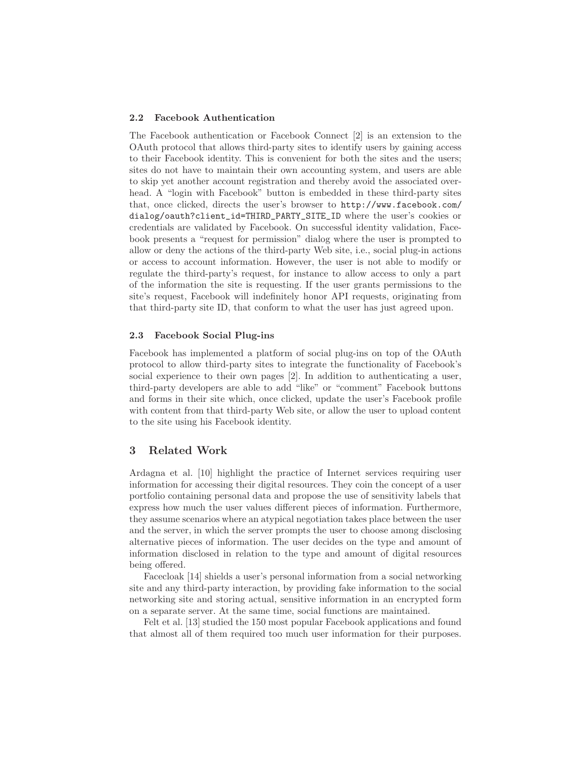#### 2.2 Facebook Authentication

The Facebook authentication or Facebook Connect [2] is an extension to the OAuth protocol that allows third-party sites to identify users by gaining access to their Facebook identity. This is convenient for both the sites and the users; sites do not have to maintain their own accounting system, and users are able to skip yet another account registration and thereby avoid the associated overhead. A "login with Facebook" button is embedded in these third-party sites that, once clicked, directs the user's browser to http://www.facebook.com/ dialog/oauth?client\_id=THIRD\_PARTY\_SITE\_ID where the user's cookies or credentials are validated by Facebook. On successful identity validation, Facebook presents a "request for permission" dialog where the user is prompted to allow or deny the actions of the third-party Web site, i.e., social plug-in actions or access to account information. However, the user is not able to modify or regulate the third-party's request, for instance to allow access to only a part of the information the site is requesting. If the user grants permissions to the site's request, Facebook will indefinitely honor API requests, originating from that third-party site ID, that conform to what the user has just agreed upon.

#### 2.3 Facebook Social Plug-ins

Facebook has implemented a platform of social plug-ins on top of the OAuth protocol to allow third-party sites to integrate the functionality of Facebook's social experience to their own pages [2]. In addition to authenticating a user, third-party developers are able to add "like" or "comment" Facebook buttons and forms in their site which, once clicked, update the user's Facebook profile with content from that third-party Web site, or allow the user to upload content to the site using his Facebook identity.

#### 3 Related Work

Ardagna et al. [10] highlight the practice of Internet services requiring user information for accessing their digital resources. They coin the concept of a user portfolio containing personal data and propose the use of sensitivity labels that express how much the user values different pieces of information. Furthermore, they assume scenarios where an atypical negotiation takes place between the user and the server, in which the server prompts the user to choose among disclosing alternative pieces of information. The user decides on the type and amount of information disclosed in relation to the type and amount of digital resources being offered.

Facecloak [14] shields a user's personal information from a social networking site and any third-party interaction, by providing fake information to the social networking site and storing actual, sensitive information in an encrypted form on a separate server. At the same time, social functions are maintained.

Felt et al. [13] studied the 150 most popular Facebook applications and found that almost all of them required too much user information for their purposes.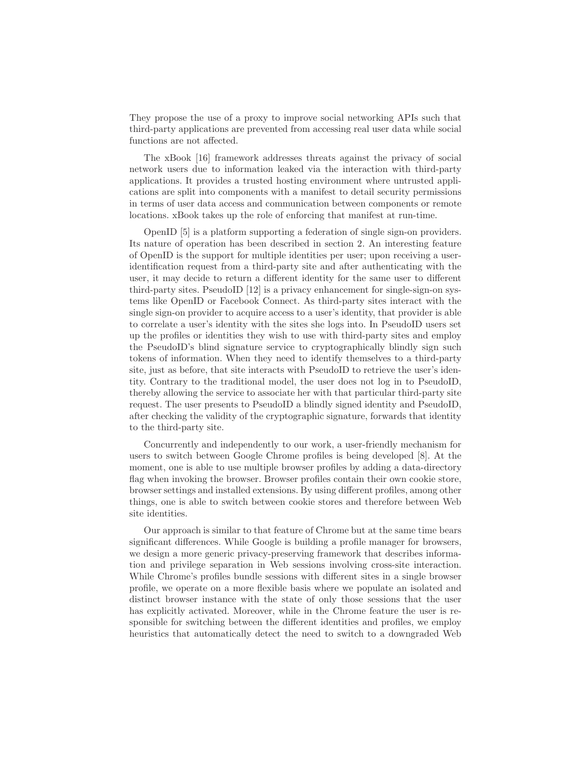They propose the use of a proxy to improve social networking APIs such that third-party applications are prevented from accessing real user data while social functions are not affected.

The xBook [16] framework addresses threats against the privacy of social network users due to information leaked via the interaction with third-party applications. It provides a trusted hosting environment where untrusted applications are split into components with a manifest to detail security permissions in terms of user data access and communication between components or remote locations. xBook takes up the role of enforcing that manifest at run-time.

OpenID [5] is a platform supporting a federation of single sign-on providers. Its nature of operation has been described in section 2. An interesting feature of OpenID is the support for multiple identities per user; upon receiving a useridentification request from a third-party site and after authenticating with the user, it may decide to return a different identity for the same user to different third-party sites. PseudoID [12] is a privacy enhancement for single-sign-on systems like OpenID or Facebook Connect. As third-party sites interact with the single sign-on provider to acquire access to a user's identity, that provider is able to correlate a user's identity with the sites she logs into. In PseudoID users set up the profiles or identities they wish to use with third-party sites and employ the PseudoID's blind signature service to cryptographically blindly sign such tokens of information. When they need to identify themselves to a third-party site, just as before, that site interacts with PseudoID to retrieve the user's identity. Contrary to the traditional model, the user does not log in to PseudoID, thereby allowing the service to associate her with that particular third-party site request. The user presents to PseudoID a blindly signed identity and PseudoID, after checking the validity of the cryptographic signature, forwards that identity to the third-party site.

Concurrently and independently to our work, a user-friendly mechanism for users to switch between Google Chrome profiles is being developed [8]. At the moment, one is able to use multiple browser profiles by adding a data-directory flag when invoking the browser. Browser profiles contain their own cookie store, browser settings and installed extensions. By using different profiles, among other things, one is able to switch between cookie stores and therefore between Web site identities.

Our approach is similar to that feature of Chrome but at the same time bears significant differences. While Google is building a profile manager for browsers, we design a more generic privacy-preserving framework that describes information and privilege separation in Web sessions involving cross-site interaction. While Chrome's profiles bundle sessions with different sites in a single browser profile, we operate on a more flexible basis where we populate an isolated and distinct browser instance with the state of only those sessions that the user has explicitly activated. Moreover, while in the Chrome feature the user is responsible for switching between the different identities and profiles, we employ heuristics that automatically detect the need to switch to a downgraded Web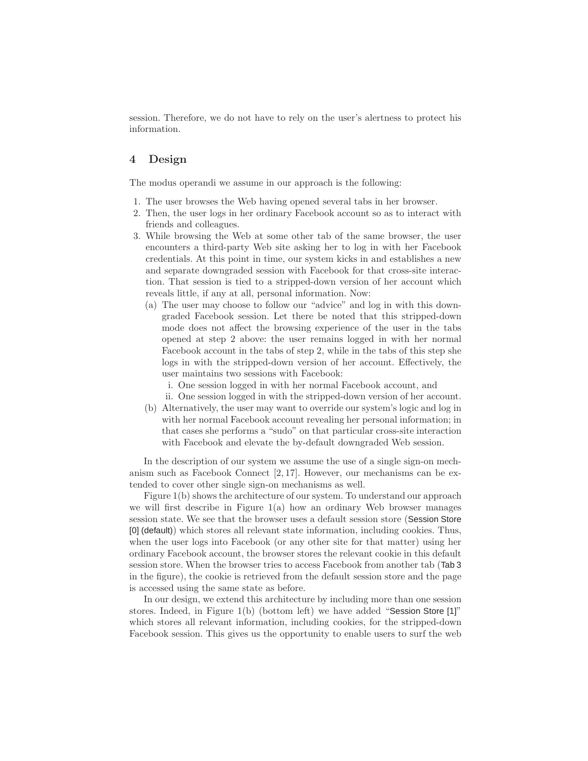session. Therefore, we do not have to rely on the user's alertness to protect his information.

## 4 Design

The modus operandi we assume in our approach is the following:

- 1. The user browses the Web having opened several tabs in her browser.
- 2. Then, the user logs in her ordinary Facebook account so as to interact with friends and colleagues.
- 3. While browsing the Web at some other tab of the same browser, the user encounters a third-party Web site asking her to log in with her Facebook credentials. At this point in time, our system kicks in and establishes a new and separate downgraded session with Facebook for that cross-site interaction. That session is tied to a stripped-down version of her account which reveals little, if any at all, personal information. Now:
	- (a) The user may choose to follow our "advice" and log in with this downgraded Facebook session. Let there be noted that this stripped-down mode does not affect the browsing experience of the user in the tabs opened at step 2 above: the user remains logged in with her normal Facebook account in the tabs of step 2, while in the tabs of this step she logs in with the stripped-down version of her account. Effectively, the user maintains two sessions with Facebook:
		- i. One session logged in with her normal Facebook account, and
		- ii. One session logged in with the stripped-down version of her account.
	- (b) Alternatively, the user may want to override our system's logic and log in with her normal Facebook account revealing her personal information; in that cases she performs a "sudo" on that particular cross-site interaction with Facebook and elevate the by-default downgraded Web session.

In the description of our system we assume the use of a single sign-on mechanism such as Facebook Connect  $[2, 17]$ . However, our mechanisms can be extended to cover other single sign-on mechanisms as well.

Figure 1(b) shows the architecture of our system. To understand our approach we will first describe in Figure  $1(a)$  how an ordinary Web browser manages session state. We see that the browser uses a default session store (Session Store [0] (default)) which stores all relevant state information, including cookies. Thus, when the user logs into Facebook (or any other site for that matter) using her ordinary Facebook account, the browser stores the relevant cookie in this default session store. When the browser tries to access Facebook from another tab (Tab 3 in the figure), the cookie is retrieved from the default session store and the page is accessed using the same state as before.

In our design, we extend this architecture by including more than one session stores. Indeed, in Figure 1(b) (bottom left) we have added "Session Store [1]" which stores all relevant information, including cookies, for the stripped-down Facebook session. This gives us the opportunity to enable users to surf the web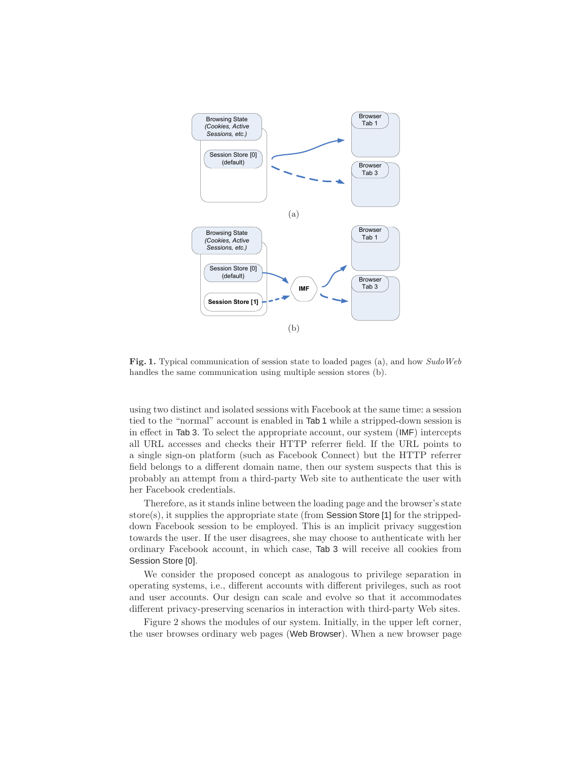

Fig. 1. Typical communication of session state to loaded pages (a), and how SudoWeb handles the same communication using multiple session stores (b).

using two distinct and isolated sessions with Facebook at the same time: a session tied to the "normal" account is enabled in Tab 1 while a stripped-down session is in effect in Tab 3. To select the appropriate account, our system (IMF) intercepts all URL accesses and checks their HTTP referrer field. If the URL points to a single sign-on platform (such as Facebook Connect) but the HTTP referrer field belongs to a different domain name, then our system suspects that this is probably an attempt from a third-party Web site to authenticate the user with her Facebook credentials.

Therefore, as it stands inline between the loading page and the browser's state store(s), it supplies the appropriate state (from Session Store [1] for the strippeddown Facebook session to be employed. This is an implicit privacy suggestion towards the user. If the user disagrees, she may choose to authenticate with her ordinary Facebook account, in which case, Tab 3 will receive all cookies from Session Store [0].

We consider the proposed concept as analogous to privilege separation in operating systems, i.e., different accounts with different privileges, such as root and user accounts. Our design can scale and evolve so that it accommodates different privacy-preserving scenarios in interaction with third-party Web sites.

Figure 2 shows the modules of our system. Initially, in the upper left corner, the user browses ordinary web pages (Web Browser). When a new browser page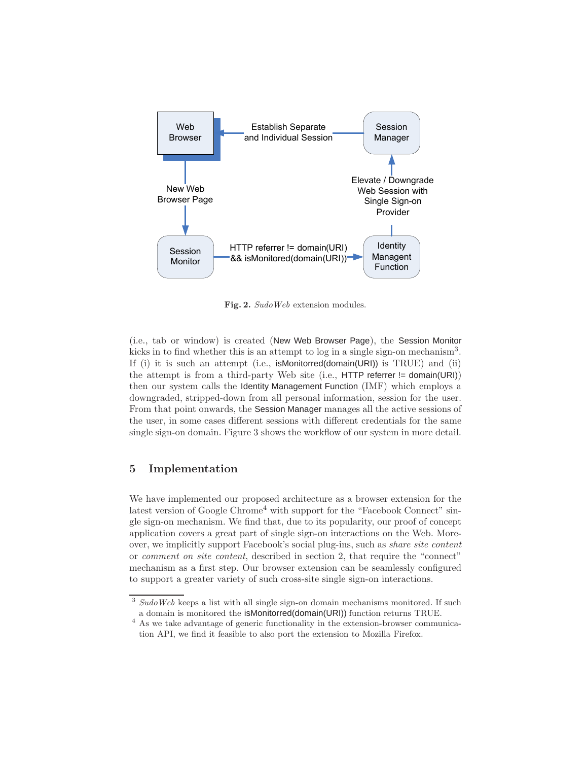

Fig. 2. Sudo Web extension modules.

(i.e., tab or window) is created (New Web Browser Page), the Session Monitor kicks in to find whether this is an attempt to log in a single sign-on mechanism<sup>3</sup> . If (i) it is such an attempt (i.e., isMonitorred(domain(URI)) is  $TRUE$ ) and (ii) the attempt is from a third-party Web site (i.e., HTTP referrer != domain(URI)) then our system calls the Identity Management Function (IMF) which employs a downgraded, stripped-down from all personal information, session for the user. From that point onwards, the Session Manager manages all the active sessions of the user, in some cases different sessions with different credentials for the same single sign-on domain. Figure 3 shows the workflow of our system in more detail.

# 5 Implementation

We have implemented our proposed architecture as a browser extension for the latest version of Google Chrome<sup>4</sup> with support for the "Facebook Connect" single sign-on mechanism. We find that, due to its popularity, our proof of concept application covers a great part of single sign-on interactions on the Web. Moreover, we implicitly support Facebook's social plug-ins, such as share site content or comment on site content, described in section 2, that require the "connect" mechanism as a first step. Our browser extension can be seamlessly configured to support a greater variety of such cross-site single sign-on interactions.

 $3$  SudoWeb keeps a list with all single sign-on domain mechanisms monitored. If such a domain is monitored the isMonitorred(domain(URI)) function returns TRUE.

 $^4$  As we take advantage of generic functionality in the extension-browser communication API, we find it feasible to also port the extension to Mozilla Firefox.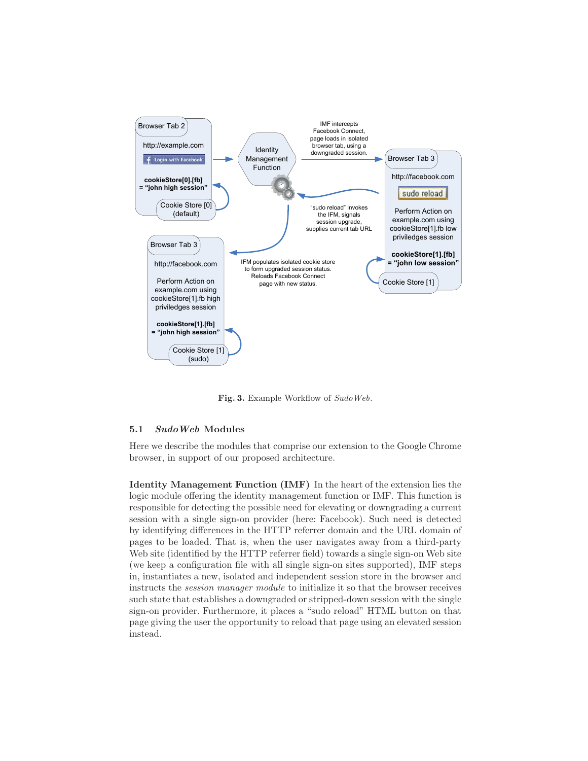

Fig. 3. Example Workflow of  $SubWeb$ .

#### 5.1 SudoWeb Modules

Here we describe the modules that comprise our extension to the Google Chrome browser, in support of our proposed architecture.

Identity Management Function (IMF) In the heart of the extension lies the logic module offering the identity management function or IMF. This function is responsible for detecting the possible need for elevating or downgrading a current session with a single sign-on provider (here: Facebook). Such need is detected by identifying differences in the HTTP referrer domain and the URL domain of pages to be loaded. That is, when the user navigates away from a third-party Web site (identified by the HTTP referrer field) towards a single sign-on Web site (we keep a configuration file with all single sign-on sites supported), IMF steps in, instantiates a new, isolated and independent session store in the browser and instructs the session manager module to initialize it so that the browser receives such state that establishes a downgraded or stripped-down session with the single sign-on provider. Furthermore, it places a "sudo reload" HTML button on that page giving the user the opportunity to reload that page using an elevated session instead.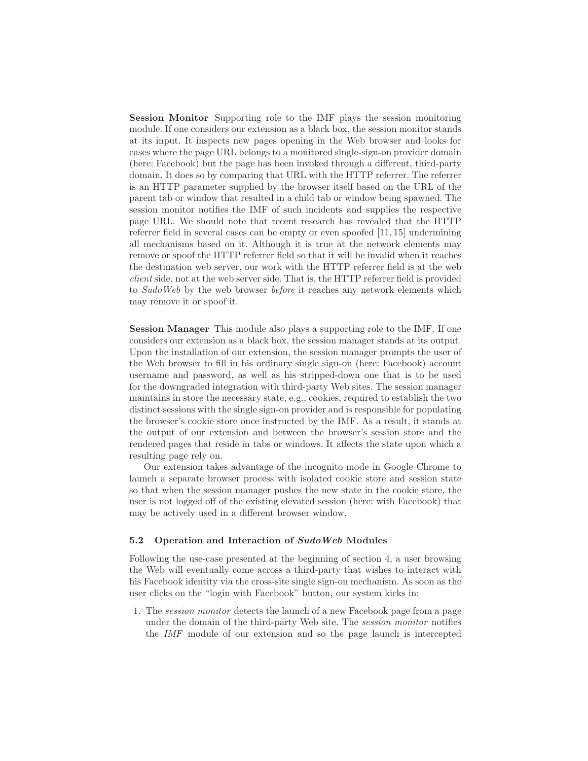Session Monitor Supporting role to the IMF plays the session monitoring module. If one considers our extension as a black box, the session monitor stands at its input. It inspects new pages opening in the Web browser and looks for cases where the page URL belongs to a monitored single-sign-on provider domain (here: Facebook) but the page has been invoked through a different, third-party domain. It does so by comparing that URL with the HTTP referrer. The referrer is an HTTP parameter supplied by the browser itself based on the URL of the parent tab or window that resulted in a child tab or window being spawned. The session monitor notifies the IMF of such incidents and supplies the respective page URL. We should note that recent research has revealed that the HTTP referrer field in several cases can be empty or even spoofed [11, 15] undermining all mechanisms based on it. Although it is true at the network elements may remove or spoof the HTTP referrer field so that it will be invalid when it reaches the destination web server, our work with the HTTP referrer field is at the web client side, not at the web server side. That is, the HTTP referrer field is provided to SudoWeb by the web browser before it reaches any network elements which may remove it or spoof it.

Session Manager This module also plays a supporting role to the IMF. If one considers our extension as a black box, the session manager stands at its output. Upon the installation of our extension, the session manager prompts the user of the Web browser to fill in his ordinary single sign-on (here: Facebook) account username and password, as well as his stripped-down one that is to be used for the downgraded integration with third-party Web sites. The session manager maintains in store the necessary state, e.g., cookies, required to establish the two distinct sessions with the single sign-on provider and is responsible for populating the browser's cookie store once instructed by the IMF. As a result, it stands at the output of our extension and between the browser's session store and the rendered pages that reside in tabs or windows. It affects the state upon which a resulting page rely on.

Our extension takes advantage of the incognito mode in Google Chrome to launch a separate browser process with isolated cookie store and session state so that when the session manager pushes the new state in the cookie store, the user is not logged off of the existing elevated session (here: with Facebook) that may be actively used in a different browser window.

#### 5.2 Operation and Interaction of SudoWeb Modules

Following the use-case presented at the beginning of section 4, a user browsing the Web will eventually come across a third-party that wishes to interact with his Facebook identity via the cross-site single sign-on mechanism. As soon as the user clicks on the "login with Facebook" button, our system kicks in;

1. The session monitor detects the launch of a new Facebook page from a page under the domain of the third-party Web site. The session monitor notifies the IMF module of our extension and so the page launch is intercepted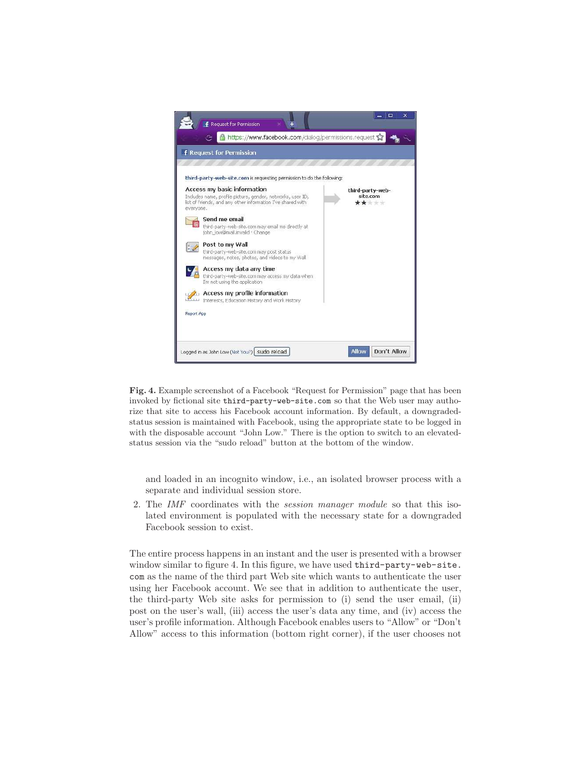

Fig. 4. Example screenshot of a Facebook "Request for Permission" page that has been invoked by fictional site third-party-web-site.com so that the Web user may authorize that site to access his Facebook account information. By default, a downgradedstatus session is maintained with Facebook, using the appropriate state to be logged in with the disposable account "John Low." There is the option to switch to an elevatedstatus session via the "sudo reload" button at the bottom of the window.

and loaded in an incognito window, i.e., an isolated browser process with a separate and individual session store.

2. The IMF coordinates with the session manager module so that this isolated environment is populated with the necessary state for a downgraded Facebook session to exist.

The entire process happens in an instant and the user is presented with a browser window similar to figure 4. In this figure, we have used third-party-web-site. com as the name of the third part Web site which wants to authenticate the user using her Facebook account. We see that in addition to authenticate the user, the third-party Web site asks for permission to (i) send the user email, (ii) post on the user's wall, (iii) access the user's data any time, and (iv) access the user's profile information. Although Facebook enables users to "Allow" or "Don't Allow" access to this information (bottom right corner), if the user chooses not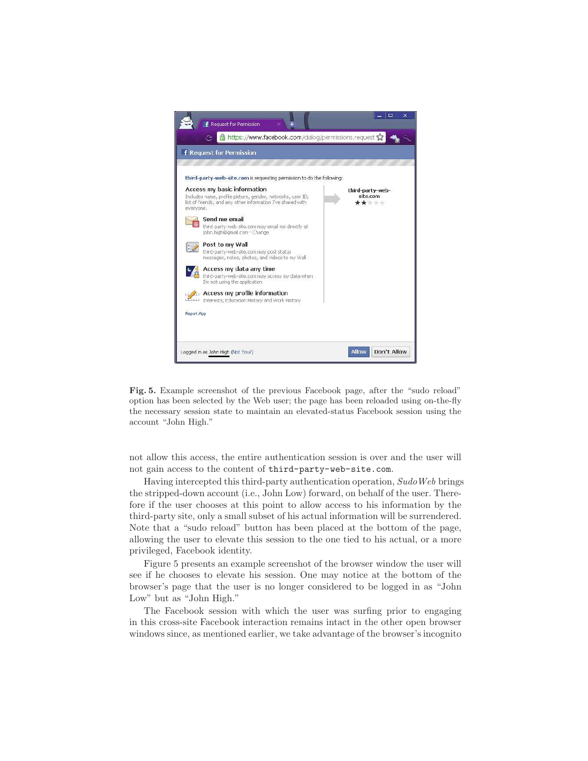

Fig. 5. Example screenshot of the previous Facebook page, after the "sudo reload" option has been selected by the Web user; the page has been reloaded using on-the-fly the necessary session state to maintain an elevated-status Facebook session using the account "John High."

not allow this access, the entire authentication session is over and the user will not gain access to the content of third-party-web-site.com.

Having intercepted this third-party authentication operation, SudoWeb brings the stripped-down account (i.e., John Low) forward, on behalf of the user. Therefore if the user chooses at this point to allow access to his information by the third-party site, only a small subset of his actual information will be surrendered. Note that a "sudo reload" button has been placed at the bottom of the page, allowing the user to elevate this session to the one tied to his actual, or a more privileged, Facebook identity.

Figure 5 presents an example screenshot of the browser window the user will see if he chooses to elevate his session. One may notice at the bottom of the browser's page that the user is no longer considered to be logged in as "John Low" but as "John High."

The Facebook session with which the user was surfing prior to engaging in this cross-site Facebook interaction remains intact in the other open browser windows since, as mentioned earlier, we take advantage of the browser's incognito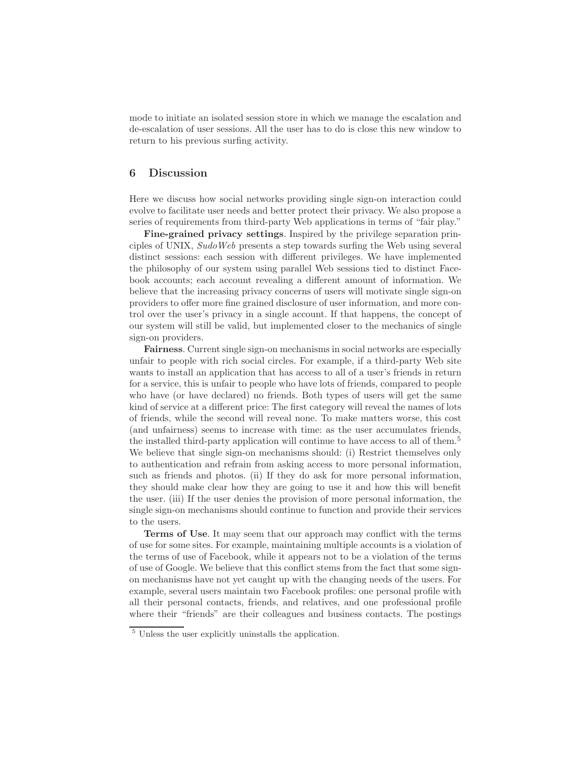mode to initiate an isolated session store in which we manage the escalation and de-escalation of user sessions. All the user has to do is close this new window to return to his previous surfing activity.

## 6 Discussion

Here we discuss how social networks providing single sign-on interaction could evolve to facilitate user needs and better protect their privacy. We also propose a series of requirements from third-party Web applications in terms of "fair play."

Fine-grained privacy settings. Inspired by the privilege separation principles of UNIX, SudoWeb presents a step towards surfing the Web using several distinct sessions: each session with different privileges. We have implemented the philosophy of our system using parallel Web sessions tied to distinct Facebook accounts; each account revealing a different amount of information. We believe that the increasing privacy concerns of users will motivate single sign-on providers to offer more fine grained disclosure of user information, and more control over the user's privacy in a single account. If that happens, the concept of our system will still be valid, but implemented closer to the mechanics of single sign-on providers.

Fairness. Current single sign-on mechanisms in social networks are especially unfair to people with rich social circles. For example, if a third-party Web site wants to install an application that has access to all of a user's friends in return for a service, this is unfair to people who have lots of friends, compared to people who have (or have declared) no friends. Both types of users will get the same kind of service at a different price: The first category will reveal the names of lots of friends, while the second will reveal none. To make matters worse, this cost (and unfairness) seems to increase with time: as the user accumulates friends, the installed third-party application will continue to have access to all of them.<sup>5</sup> We believe that single sign-on mechanisms should: (i) Restrict themselves only to authentication and refrain from asking access to more personal information, such as friends and photos. (ii) If they do ask for more personal information, they should make clear how they are going to use it and how this will benefit the user. (iii) If the user denies the provision of more personal information, the single sign-on mechanisms should continue to function and provide their services to the users.

Terms of Use. It may seem that our approach may conflict with the terms of use for some sites. For example, maintaining multiple accounts is a violation of the terms of use of Facebook, while it appears not to be a violation of the terms of use of Google. We believe that this conflict stems from the fact that some signon mechanisms have not yet caught up with the changing needs of the users. For example, several users maintain two Facebook profiles: one personal profile with all their personal contacts, friends, and relatives, and one professional profile where their "friends" are their colleagues and business contacts. The postings

<sup>5</sup> Unless the user explicitly uninstalls the application.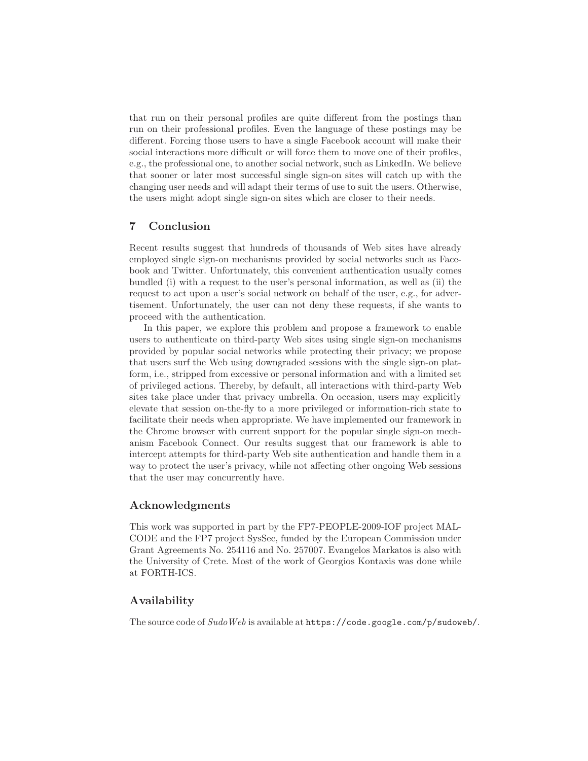that run on their personal profiles are quite different from the postings than run on their professional profiles. Even the language of these postings may be different. Forcing those users to have a single Facebook account will make their social interactions more difficult or will force them to move one of their profiles, e.g., the professional one, to another social network, such as LinkedIn. We believe that sooner or later most successful single sign-on sites will catch up with the changing user needs and will adapt their terms of use to suit the users. Otherwise, the users might adopt single sign-on sites which are closer to their needs.

# 7 Conclusion

Recent results suggest that hundreds of thousands of Web sites have already employed single sign-on mechanisms provided by social networks such as Facebook and Twitter. Unfortunately, this convenient authentication usually comes bundled (i) with a request to the user's personal information, as well as (ii) the request to act upon a user's social network on behalf of the user, e.g., for advertisement. Unfortunately, the user can not deny these requests, if she wants to proceed with the authentication.

In this paper, we explore this problem and propose a framework to enable users to authenticate on third-party Web sites using single sign-on mechanisms provided by popular social networks while protecting their privacy; we propose that users surf the Web using downgraded sessions with the single sign-on platform, i.e., stripped from excessive or personal information and with a limited set of privileged actions. Thereby, by default, all interactions with third-party Web sites take place under that privacy umbrella. On occasion, users may explicitly elevate that session on-the-fly to a more privileged or information-rich state to facilitate their needs when appropriate. We have implemented our framework in the Chrome browser with current support for the popular single sign-on mechanism Facebook Connect. Our results suggest that our framework is able to intercept attempts for third-party Web site authentication and handle them in a way to protect the user's privacy, while not affecting other ongoing Web sessions that the user may concurrently have.

#### Acknowledgments

This work was supported in part by the FP7-PEOPLE-2009-IOF project MAL-CODE and the FP7 project SysSec, funded by the European Commission under Grant Agreements No. 254116 and No. 257007. Evangelos Markatos is also with the University of Crete. Most of the work of Georgios Kontaxis was done while at FORTH-ICS.

# Availability

The source code of SudoWeb is available at https://code.google.com/p/sudoweb/.